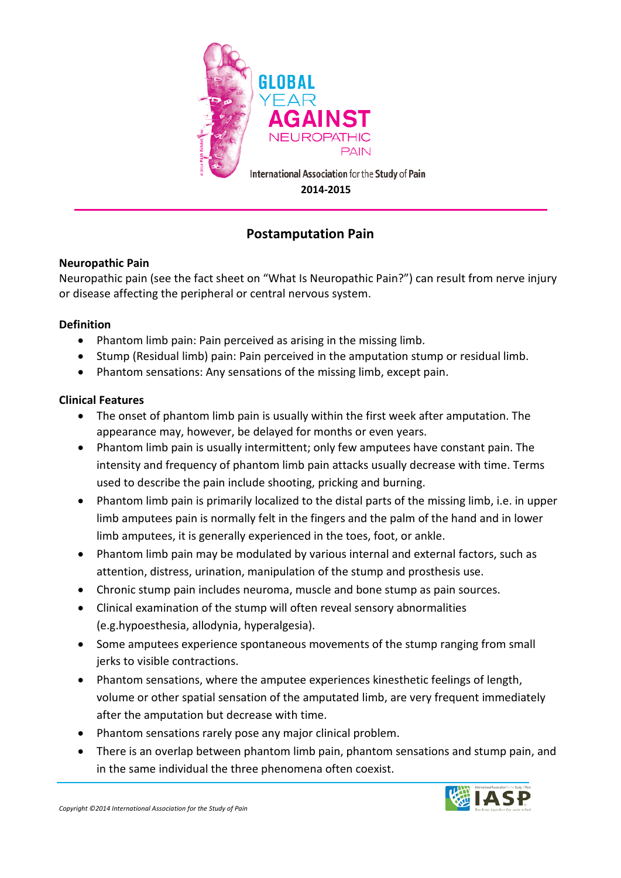

# **Postamputation Pain**

## **Neuropathic Pain**

Neuropathic pain (see the fact sheet on "What Is Neuropathic Pain?") can result from nerve injury or disease affecting the peripheral or central nervous system.

### **Definition**

- Phantom limb pain: Pain perceived as arising in the missing limb.
- Stump (Residual limb) pain: Pain perceived in the amputation stump or residual limb.
- Phantom sensations: Any sensations of the missing limb, except pain.

## **Clinical Features**

- The onset of phantom limb pain is usually within the first week after amputation. The appearance may, however, be delayed for months or even years.
- Phantom limb pain is usually intermittent; only few amputees have constant pain. The intensity and frequency of phantom limb pain attacks usually decrease with time. Terms used to describe the pain include shooting, pricking and burning.
- Phantom limb pain is primarily localized to the distal parts of the missing limb, i.e. in upper limb amputees pain is normally felt in the fingers and the palm of the hand and in lower limb amputees, it is generally experienced in the toes, foot, or ankle.
- Phantom limb pain may be modulated by various internal and external factors, such as attention, distress, urination, manipulation of the stump and prosthesis use.
- Chronic stump pain includes neuroma, muscle and bone stump as pain sources.
- Clinical examination of the stump will often reveal sensory abnormalities (e.g.hypoesthesia, allodynia, hyperalgesia).
- Some amputees experience spontaneous movements of the stump ranging from small jerks to visible contractions.
- Phantom sensations, where the amputee experiences kinesthetic feelings of length, volume or other spatial sensation of the amputated limb, are very frequent immediately after the amputation but decrease with time.
- Phantom sensations rarely pose any major clinical problem.
- There is an overlap between phantom limb pain, phantom sensations and stump pain, and in the same individual the three phenomena often coexist.